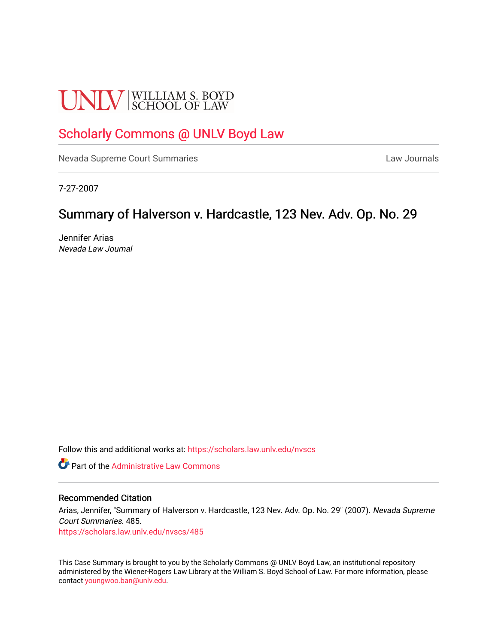# **UNLV** SCHOOL OF LAW

# [Scholarly Commons @ UNLV Boyd Law](https://scholars.law.unlv.edu/)

[Nevada Supreme Court Summaries](https://scholars.law.unlv.edu/nvscs) **Law Journals** Law Journals

7-27-2007

# Summary of Halverson v. Hardcastle, 123 Nev. Adv. Op. No. 29

Jennifer Arias Nevada Law Journal

Follow this and additional works at: [https://scholars.law.unlv.edu/nvscs](https://scholars.law.unlv.edu/nvscs?utm_source=scholars.law.unlv.edu%2Fnvscs%2F485&utm_medium=PDF&utm_campaign=PDFCoverPages)

**C** Part of the Administrative Law Commons

#### Recommended Citation

Arias, Jennifer, "Summary of Halverson v. Hardcastle, 123 Nev. Adv. Op. No. 29" (2007). Nevada Supreme Court Summaries. 485.

[https://scholars.law.unlv.edu/nvscs/485](https://scholars.law.unlv.edu/nvscs/485?utm_source=scholars.law.unlv.edu%2Fnvscs%2F485&utm_medium=PDF&utm_campaign=PDFCoverPages)

This Case Summary is brought to you by the Scholarly Commons @ UNLV Boyd Law, an institutional repository administered by the Wiener-Rogers Law Library at the William S. Boyd School of Law. For more information, please contact [youngwoo.ban@unlv.edu](mailto:youngwoo.ban@unlv.edu).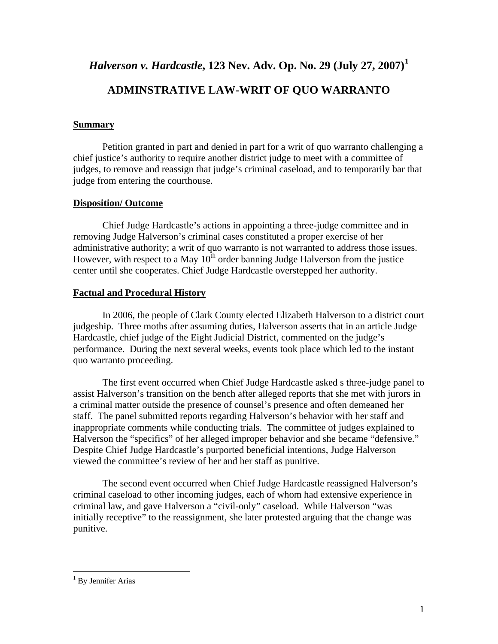*Halverson v. Hardcastle***, 123 Nev. Adv. Op. No. 29 (July 27, 2007)[1](#page-1-0)**

## **ADMINSTRATIVE LAW-WRIT OF QUO WARRANTO**

### **Summary**

Petition granted in part and denied in part for a writ of quo warranto challenging a chief justice's authority to require another district judge to meet with a committee of judges, to remove and reassign that judge's criminal caseload, and to temporarily bar that judge from entering the courthouse.

## **Disposition/ Outcome**

Chief Judge Hardcastle's actions in appointing a three-judge committee and in removing Judge Halverson's criminal cases constituted a proper exercise of her administrative authority; a writ of quo warranto is not warranted to address those issues. However, with respect to a May  $10<sup>th</sup>$  order banning Judge Halverson from the justice center until she cooperates. Chief Judge Hardcastle overstepped her authority.

## **Factual and Procedural History**

In 2006, the people of Clark County elected Elizabeth Halverson to a district court judgeship. Three moths after assuming duties, Halverson asserts that in an article Judge Hardcastle, chief judge of the Eight Judicial District, commented on the judge's performance. During the next several weeks, events took place which led to the instant quo warranto proceeding.

The first event occurred when Chief Judge Hardcastle asked s three-judge panel to assist Halverson's transition on the bench after alleged reports that she met with jurors in a criminal matter outside the presence of counsel's presence and often demeaned her staff. The panel submitted reports regarding Halverson's behavior with her staff and inappropriate comments while conducting trials. The committee of judges explained to Halverson the "specifics" of her alleged improper behavior and she became "defensive." Despite Chief Judge Hardcastle's purported beneficial intentions, Judge Halverson viewed the committee's review of her and her staff as punitive.

The second event occurred when Chief Judge Hardcastle reassigned Halverson's criminal caseload to other incoming judges, each of whom had extensive experience in criminal law, and gave Halverson a "civil-only" caseload. While Halverson "was initially receptive" to the reassignment, she later protested arguing that the change was punitive.

 $\overline{a}$ 

<span id="page-1-0"></span><sup>&</sup>lt;sup>1</sup> By Jennifer Arias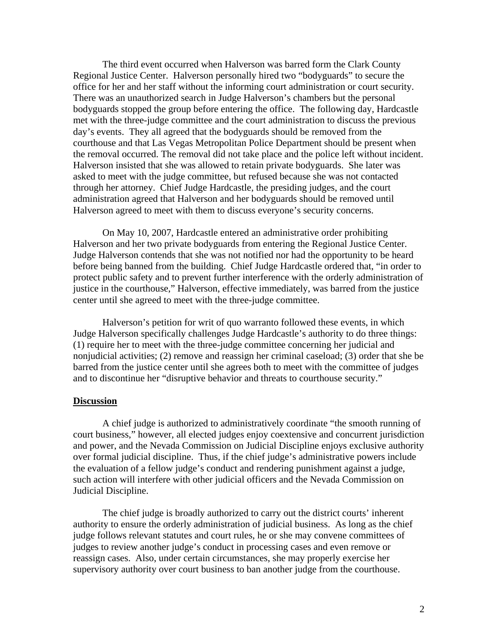The third event occurred when Halverson was barred form the Clark County Regional Justice Center. Halverson personally hired two "bodyguards" to secure the office for her and her staff without the informing court administration or court security. There was an unauthorized search in Judge Halverson's chambers but the personal bodyguards stopped the group before entering the office. The following day, Hardcastle met with the three-judge committee and the court administration to discuss the previous day's events. They all agreed that the bodyguards should be removed from the courthouse and that Las Vegas Metropolitan Police Department should be present when the removal occurred. The removal did not take place and the police left without incident. Halverson insisted that she was allowed to retain private bodyguards. She later was asked to meet with the judge committee, but refused because she was not contacted through her attorney. Chief Judge Hardcastle, the presiding judges, and the court administration agreed that Halverson and her bodyguards should be removed until Halverson agreed to meet with them to discuss everyone's security concerns.

On May 10, 2007, Hardcastle entered an administrative order prohibiting Halverson and her two private bodyguards from entering the Regional Justice Center. Judge Halverson contends that she was not notified nor had the opportunity to be heard before being banned from the building. Chief Judge Hardcastle ordered that, "in order to protect public safety and to prevent further interference with the orderly administration of justice in the courthouse," Halverson, effective immediately, was barred from the justice center until she agreed to meet with the three-judge committee.

Halverson's petition for writ of quo warranto followed these events, in which Judge Halverson specifically challenges Judge Hardcastle's authority to do three things: (1) require her to meet with the three-judge committee concerning her judicial and nonjudicial activities; (2) remove and reassign her criminal caseload; (3) order that she be barred from the justice center until she agrees both to meet with the committee of judges and to discontinue her "disruptive behavior and threats to courthouse security."

#### **Discussion**

A chief judge is authorized to administratively coordinate "the smooth running of court business," however, all elected judges enjoy coextensive and concurrent jurisdiction and power, and the Nevada Commission on Judicial Discipline enjoys exclusive authority over formal judicial discipline. Thus, if the chief judge's administrative powers include the evaluation of a fellow judge's conduct and rendering punishment against a judge, such action will interfere with other judicial officers and the Nevada Commission on Judicial Discipline.

The chief judge is broadly authorized to carry out the district courts' inherent authority to ensure the orderly administration of judicial business. As long as the chief judge follows relevant statutes and court rules, he or she may convene committees of judges to review another judge's conduct in processing cases and even remove or reassign cases. Also, under certain circumstances, she may properly exercise her supervisory authority over court business to ban another judge from the courthouse.